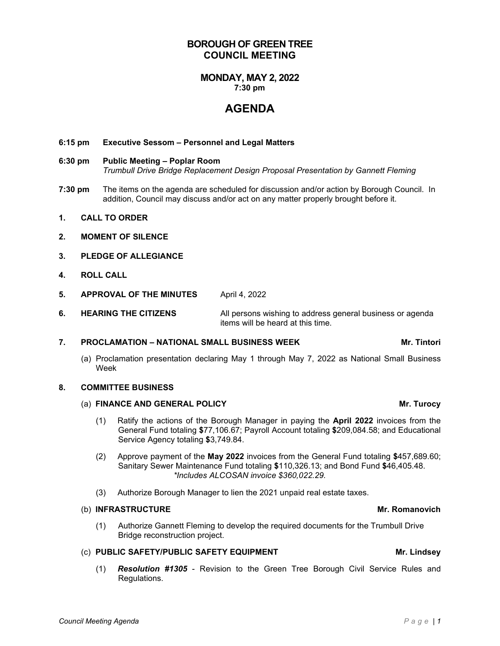# **MONDAY, MAY 2, 2022**

**7:30 pm**

**BOROUGH OF GREEN TREE COUNCIL MEETING**

# **AGENDA**

### **6:15 pm Executive Sessom – Personnel and Legal Matters**

### **6:30 pm Public Meeting – Poplar Room** *Trumbull Drive Bridge Replacement Design Proposal Presentation by Gannett Fleming*

- **7:30 pm** The items on the agenda are scheduled for discussion and/or action by Borough Council. In addition, Council may discuss and/or act on any matter properly brought before it.
- **1. CALL TO ORDER**
- **2. MOMENT OF SILENCE**
- **3. PLEDGE OF ALLEGIANCE**
- **4. ROLL CALL**
- **5. APPROVAL OF THE MINUTES** April 4, 2022
- **6. HEARING THE CITIZENS** All persons wishing to address general business or agenda items will be heard at this time.

### **7. PROCLAMATION – NATIONAL SMALL BUSINESS WEEK Mr. Tintori**

(a) Proclamation presentation declaring May 1 through May 7, 2022 as National Small Business Week

#### **8. COMMITTEE BUSINESS**

# (a) **FINANCE AND GENERAL POLICY Mr. Turocy**

- (1) Ratify the actions of the Borough Manager in paying the **April 2022** invoices from the General Fund totaling **\$**77,106.67; Payroll Account totaling **\$**209,084.58; and Educational Service Agency totaling **\$**3,749.84.
- (2) Approve payment of the **May 2022** invoices from the General Fund totaling **\$**457,689.60; Sanitary Sewer Maintenance Fund totaling **\$**110,326.13; and Bond Fund **\$**46,405.48. *\*Includes ALCOSAN invoice \$360,022.29.*
- (3) Authorize Borough Manager to lien the 2021 unpaid real estate taxes.

### (b) **INFRASTRUCTURE** Mr. Romanovich

(1) Authorize Gannett Fleming to develop the required documents for the Trumbull Drive Bridge reconstruction project.

### (c) **PUBLIC SAFETY/PUBLIC SAFETY EQUIPMENT Mr. Lindsey**

(1) *Resolution #1305* - Revision to the Green Tree Borough Civil Service Rules and Regulations.

*Council Meeting Agenda Page | 1*